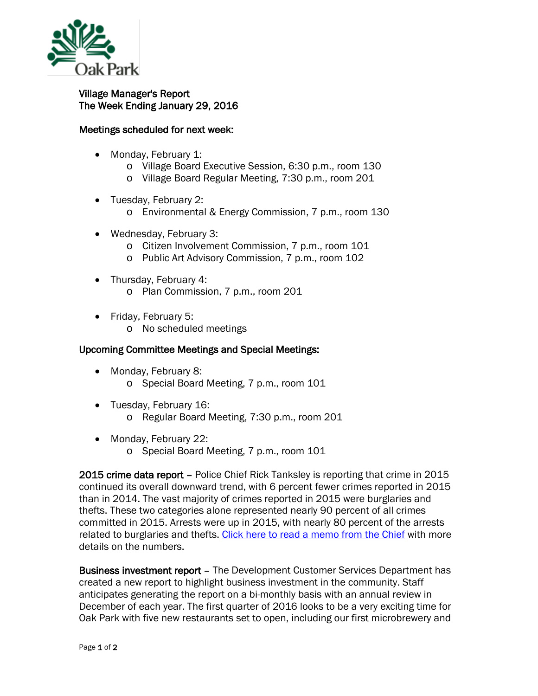

## Village Manager's Report The Week Ending January 29, 2016

## Meetings scheduled for next week:

- Monday, February 1:
	- o Village Board Executive Session, 6:30 p.m., room 130
	- o Village Board Regular Meeting, 7:30 p.m., room 201
- Tuesday, February 2:
	- o Environmental & Energy Commission, 7 p.m., room 130
- Wednesday, February 3:
	- o Citizen Involvement Commission, 7 p.m., room 101
	- o Public Art Advisory Commission, 7 p.m., room 102
- Thursday, February 4: o Plan Commission, 7 p.m., room 201
- Friday, February 5:
	- o No scheduled meetings

## Upcoming Committee Meetings and Special Meetings:

- Monday, February 8: o Special Board Meeting, 7 p.m., room 101
- Tuesday, February 16:
	- o Regular Board Meeting, 7:30 p.m., room 201
- Monday, February 22:
	- o Special Board Meeting, 7 p.m., room 101

2015 crime data report – Police Chief Rick Tanksley is reporting that crime in 2015 continued its overall downward trend, with 6 percent fewer crimes reported in 2015 than in 2014. The vast majority of crimes reported in 2015 were burglaries and thefts. These two categories alone represented nearly 90 percent of all crimes committed in 2015. Arrests were up in 2015, with nearly 80 percent of the arrests related to burglaries and thefts. [Click here to read a memo from the Chief](http://www.oak-park.us/sites/default/files/456678891/2015-part-one-crime-report-memo.pdf) with more details on the numbers.

Business investment report – The Development Customer Services Department has created a new report to highlight business investment in the community. Staff anticipates generating the report on a bi-monthly basis with an annual review in December of each year. The first quarter of 2016 looks to be a very exciting time for Oak Park with five new restaurants set to open, including our first microbrewery and